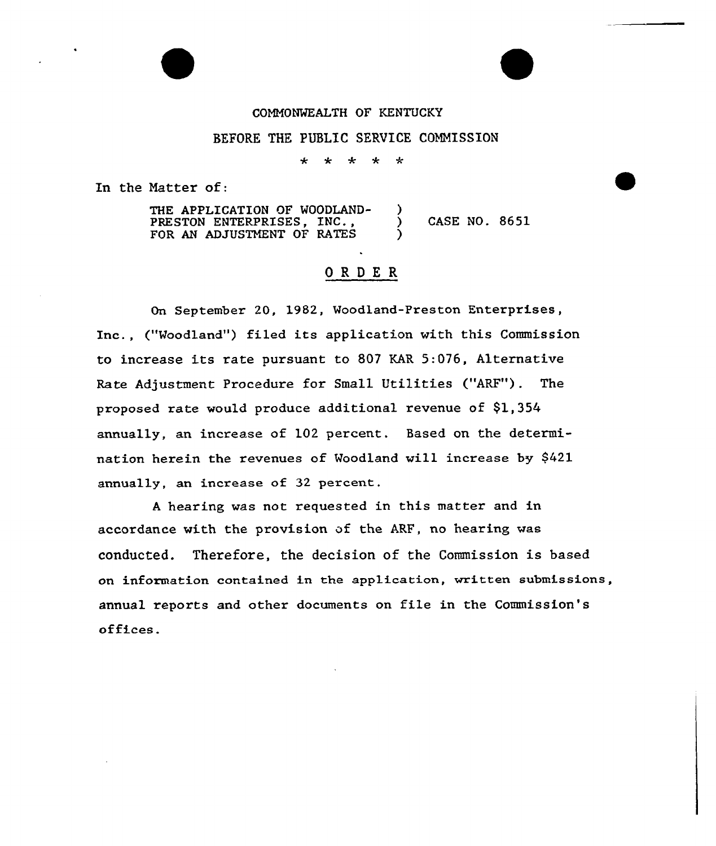### COMMONWEALTH OF KENTUCKY

## BEFORE THE PUBLIC SERVICE COMMISSION

 $\star$  $\star$ 卡

In the Matter of:

THE APPLICATION OF WOODLAND-<br>
PRESTON ENTERPRISES. INC.. PRESTON ENTERPRISES, INC.,  $\qquad$  ) CASE NO. 8651 FOR AN ADJUSTMENT OF RATES

# ORDER

On September 20, 1982, Woodland-Preston Enterprises, Inc., ("Woodland") filed its application with this Commission to increase its rate pursuant to 807 KAR 5:076, Alternative Rate Adjustment Procedure for Small Utilities ("ARF"). The proposed rate would produce additional revenue of \$1,354 annually, an increase of 102 percent. Based on the determination herein the revenues of Woodland will increase by \$421 annually, an increase of 32 percent.

<sup>A</sup> hearing was not requested in this matter and in accordance with the provision of the ARF, no hearing was conducted. Therefore, the decision of the Commission is based on information contained in the app1ication, written submissions, annual reports and other documents on file in the Commission's offices.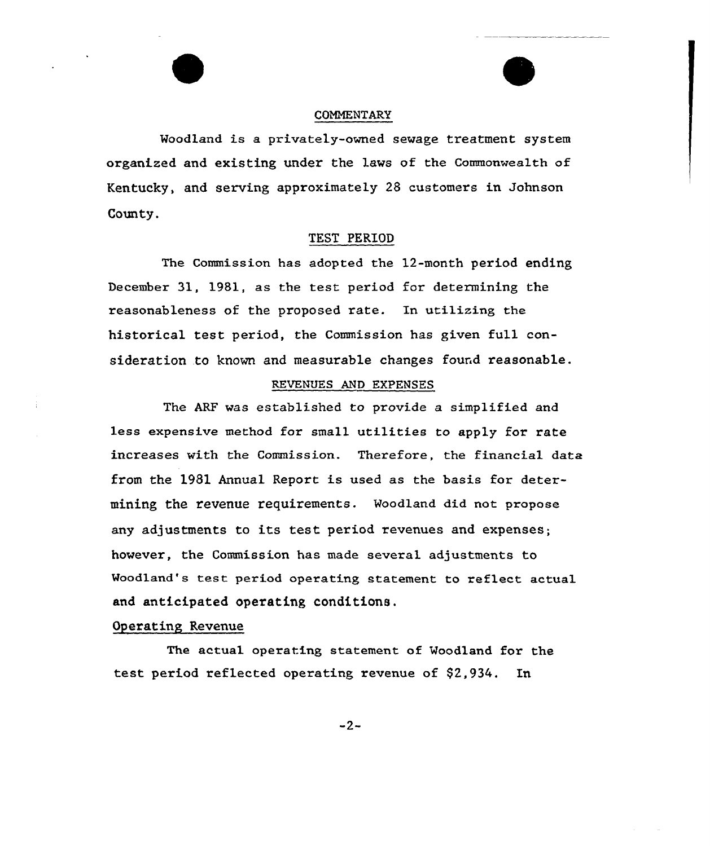### COMMENTARY

Woodland is a privately-owned sewage treatment system organized and existing under the laws of the Commonwealth of Kentucky, and serving approximately 28 customers in Johnson County.

## TEST PERIOD

The Commission has adopted the 12-month period ending December 31, 1981, as the test period for determining the reasonableness of the proposed rate. In utilizing the historical test period, the Commission has given full consideration to known and measurable changes found reasonable.

### REVENUES AND EXPENSES

The ARF was established to provide a simplified and less expensive method for small utilities to apply for rate increases with the Commission. Therefore, the financial data from the 1981 Annual Report is used as the basis for determining the revenue requirements. Woodland did not propose any adjustments to its test period revenues and expenses; however, the Commission has made several adjustments to Woodland's test period operating statement to reflect actual and anticipated operating conditions.

## Operating Revenue

The actual operating statement of Woodland for the test period reflected operating revenue of \$2,934. In

 $-2-$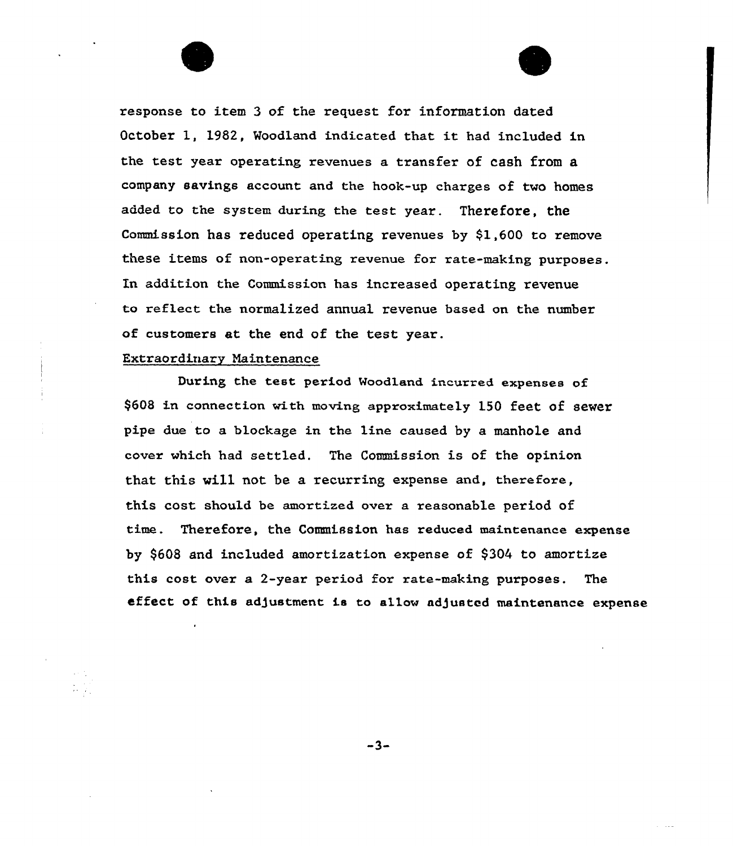response to item 3 of the request for information dated October 1, 1982, Woodland indicated that it had included in the test year operating revenues a transfer of cash from a company savings account and the hook-up charges of two homes added to the system during the test year. Therefore, the Commission has reduced operating revenues by \$1,6QO to remove these items of non-operating revenue for rate-making purposes. In addition the Commission has increased operating revenue to reflect the normalized annual revenue based. on the number of customers at the end of the test year.

## Extraordinary Maintenance

During the test period Woodland incurred expenses of \$608 in connection with moving approximately 150 feet of sewer pipe due to a blockage in the line caused by a manhole and cover which had settled. The Commission is of the opinion that this vill not be a recurring expense and, therefore, this cost should be amortized over a reasonable period of time. Therefore, the Commission has reduced. maintenance expense by \$608 and included amortization expense of \$304 to amortize this cost over a 2-year period for rate-making purposes. The effect of this adjustment is to allow adjusted maintenance expense

 $-3-$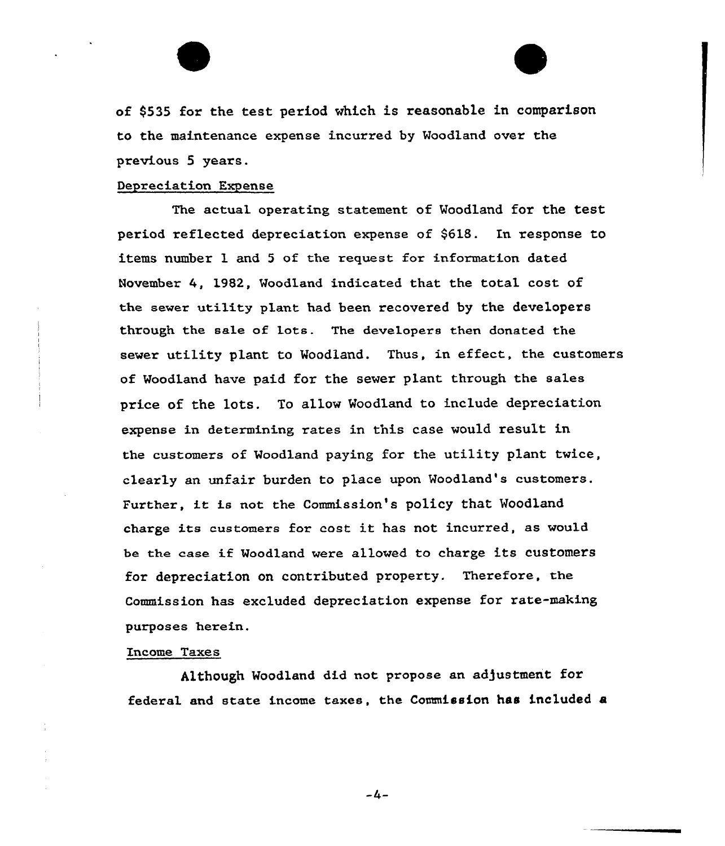of \$535 for the test period which is reasonable in comparison to the maintenance expense incurxed by Woodland over the previous 5 years.

#### Depreciation Expense

The actual operating statement of Woodland for the test period reflected depreciation expense of \$618. In response to items number 1 and <sup>5</sup> of the request for information dated November 4, 1982, Woodland indicated that the total cost of the sewer utility p1ant had been recovered by the developers through the sale of lots. The developers then donated the sewer utility plant to Woodland. Thus, in effect, the customers of Woodland have paid for the sever plant through the sales price of the lots. To allow Woodland to include depreciation expense in determining rates in this case would result in the customers of Woodland paying for the utility plant twice, cleaxly an unfair burden to place upon Woodland's customers. Further, it is not the Commission's policy that Woodland charge its customexs for cost it has not incurred, as would be the case if Woodland were allowed to charge its customers for depreciation on contributed property. Therefore, the Commission has excluded depreciation expense for rate-making purposes herein.

#### Income Taxes

Although Woodland did not propose an adjustment for federal and state income taxes, the Commission has included a

 $-4-$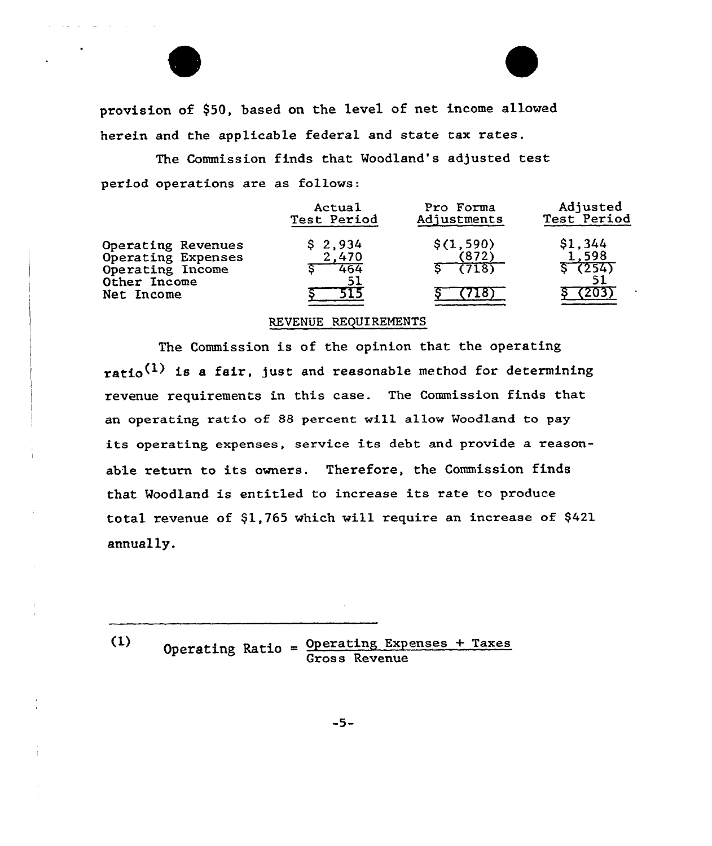provision of \$50, based on the level of net income allowed herein and the applicable federal and state tax rates.

The Commission finds that Woodland's adjusted test period operations are as follows:

|                                                                                            | Actual                  | Pro Forma                    | Adjusted                  |
|--------------------------------------------------------------------------------------------|-------------------------|------------------------------|---------------------------|
|                                                                                            | Test Period             | Adjustments                  | Test Period               |
| Operating Revenues<br>Operating Expenses<br>Operating Income<br>Other Income<br>Net Income | \$2,934<br>2,470<br>464 | \$(1, 590)<br>(872)<br>(718) | \$1.344<br>1.598<br>(254) |

## REVENUE REQUIREMENTS

The Commission is of the opinion that the operating ratio<sup>(1)</sup> is a fair, just and reasonable method for determining revenue requirements in this case. The Commission finds that an operating ratio of 88 percent will allow Woodland to pay its operating expenses, service its debt and provide a reasonable return to its owners. Therefore, the Commission finds that Woodland is entitled to increase its rate to produce total revenue of \$1,765 which will require an increase of \$421 annually.

 $(1)$ 

Operating Ratio = Operating Expenses + Taxes<br>Gross Revenue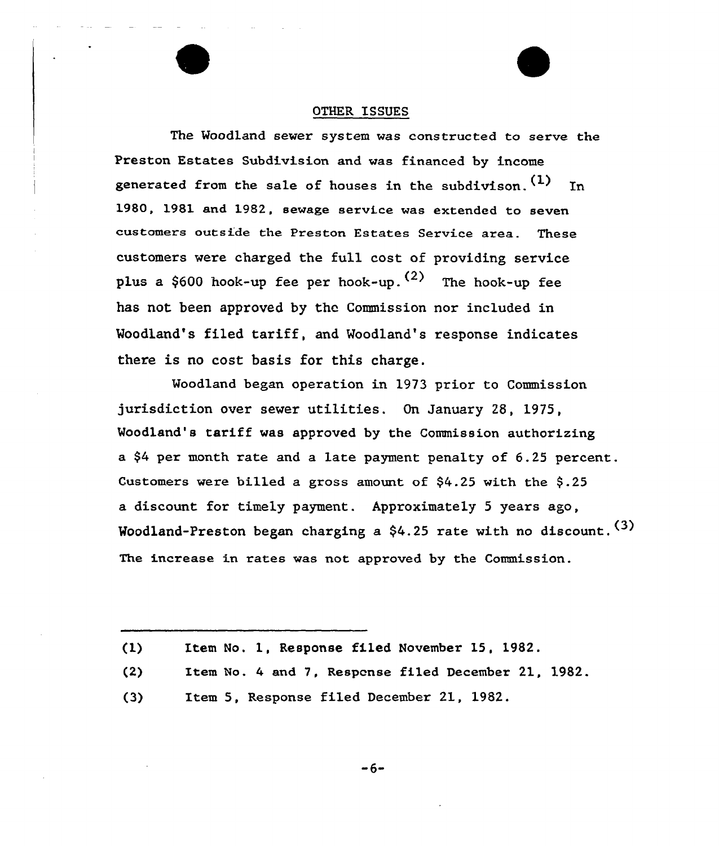#### OTHER ISSUES

The Woodland sewer system was constructed to serve the Preston Estates Subdivision and was financed by income generated from the sale of houses in the subdivison.  $(1)$  In 1980, 1981 and 1982, sewage service was extended to seven customers outside the Preston Estates Service area. These customers were charged the full cost of providing service plus a \$600 hook-up fee per hook-up.  $(2)$  The hook-up fee has not been approved by the Commission nor included in Woodland's filed tariff, and Woodland's response indicates there is no cost basis for this charge.

Woodland began operation in 1973 prior to Commission jurisdiction over sewer utilities. On January 28, 1975, Woodland's tariff was approved by the Commission authorizing a \$4 per month rate and a late payment penalty of 6.25 percent. Customers were billed a gross amount of  $$4.25$  with the  $$.25$ a discount for timely payment. Approximately 5 years ago, Woodland-Preston began charging <sup>a</sup> \$4.25 rate with no discount. (3) The increase in rates was not approved by the Commission.

 $(1)$ Item No. 1, Response filed November 15, 1982.

- (2) Item No. 4 and 7, Respcnse filed December 21, 1982.
- $(3)$ Item 5, Response filed December 21, 1982.

-6-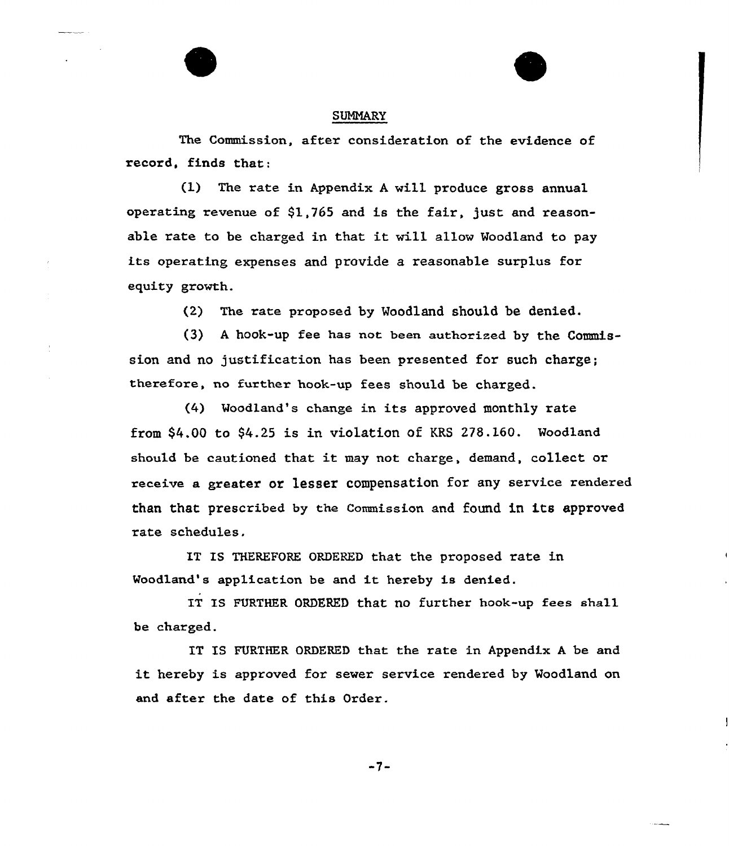

#### **SUMMARY**

The Commission, after consideration of the evidence of record, finds that:

(l) The rate in Appendix <sup>A</sup> will produce gross annual operating revenue of \$1,765 and is the fair, just and reasonable rate to be charged in that it will allow Woodland to pay its operating expenses and provide a reasonable surplus for equity growth.

(2) The rate proposed by Woodland should be denied.

(3) <sup>A</sup> hook-up fee has not been authorized by the Commission and no justification has been presented for such charge; therefore, no further hook-up fees should be charged.

(4) Woodland's change in its approved monthly rate from \$4.00 to \$4.25 is in violation of KRS 278.160. Woodland should be cautioned that it may not charge, demand, collect or receive a greater or lesser compensation for any service rendered than that prescribed by the Commission and found in its approved rate schedules.

IT IS THEREFORE ORDERED that the proposed rate in Woodland's application be and it hereby is denied.

IT IS FURTHER ORDERED that no further hook-up fees shall be charged.

IT IS FURTHER ORDERED that the rate in Appendix <sup>A</sup> be and it hereby is approved for sewer service rendered by Woodland on and after the date of this Order.

 $-7-$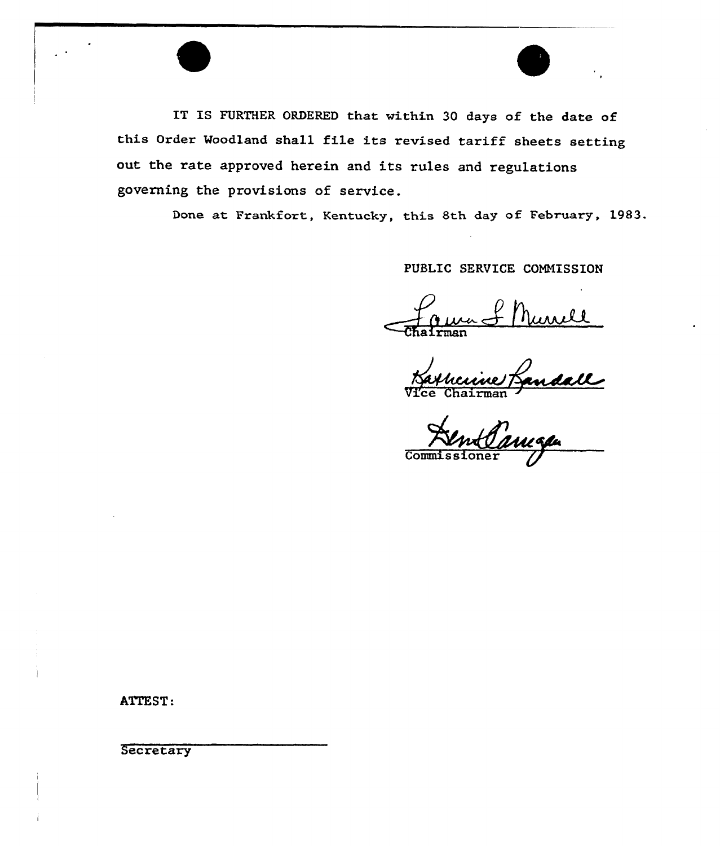IT IS FURTHER ORDERED that within 30 days of the date of this Order Woodland shall file its revised tariff sheets setting out the rate approved herein and its rules and regulations governing the provisions of service.

Done at Frankfort, Kentucky, this 8th day of February, 1983.

PUBLIC SERVICE CONNISSION

rman

andall Vice Chairman

Commissione

ATTEST:

**Secretary**